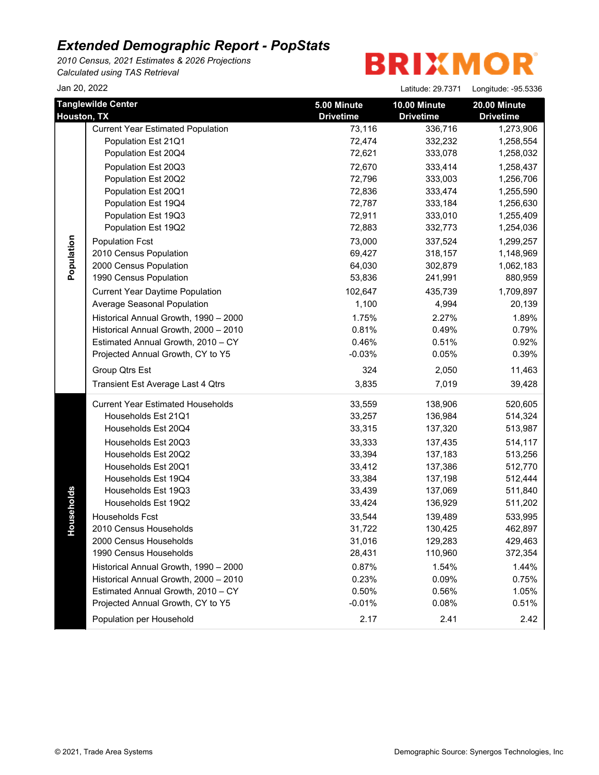*2010 Census, 2021 Estimates & 2026 Projections Calculated using TAS Retrieval*

**BRIXMOR** 

Jan 20, 2022 Latitude: 29.7371 Longitude: -95.5336

|             | <b>Tanglewilde Center</b>                | 5.00 Minute      | 10.00 Minute     | 20.00 Minute     |
|-------------|------------------------------------------|------------------|------------------|------------------|
| Houston, TX |                                          | <b>Drivetime</b> | <b>Drivetime</b> | <b>Drivetime</b> |
|             | <b>Current Year Estimated Population</b> | 73,116           | 336,716          | 1,273,906        |
|             | Population Est 21Q1                      | 72,474           | 332,232          | 1,258,554        |
|             | Population Est 20Q4                      | 72,621           | 333,078          | 1,258,032        |
|             | Population Est 20Q3                      | 72,670           | 333,414          | 1,258,437        |
|             | Population Est 20Q2                      | 72,796           | 333,003          | 1,256,706        |
|             | Population Est 20Q1                      | 72,836           | 333,474          | 1,255,590        |
|             | Population Est 19Q4                      | 72,787           | 333,184          | 1,256,630        |
|             | Population Est 19Q3                      | 72,911           | 333,010          | 1,255,409        |
|             | Population Est 19Q2                      | 72,883           | 332,773          | 1,254,036        |
| Population  | <b>Population Fcst</b>                   | 73,000           | 337,524          | 1,299,257        |
|             | 2010 Census Population                   | 69,427           | 318,157          | 1,148,969        |
|             | 2000 Census Population                   | 64,030           | 302,879          | 1,062,183        |
|             | 1990 Census Population                   | 53,836           | 241,991          | 880,959          |
|             | <b>Current Year Daytime Population</b>   | 102,647          | 435,739          | 1,709,897        |
|             | Average Seasonal Population              | 1,100            | 4,994            | 20,139           |
|             | Historical Annual Growth, 1990 - 2000    | 1.75%            | 2.27%            | 1.89%            |
|             | Historical Annual Growth, 2000 - 2010    | 0.81%            | 0.49%            | 0.79%            |
|             | Estimated Annual Growth, 2010 - CY       | 0.46%            | 0.51%            | 0.92%            |
|             | Projected Annual Growth, CY to Y5        | $-0.03%$         | 0.05%            | 0.39%            |
|             | Group Qtrs Est                           | 324              | 2,050            | 11,463           |
|             | Transient Est Average Last 4 Qtrs        | 3,835            | 7,019            | 39,428           |
|             | <b>Current Year Estimated Households</b> | 33,559           | 138,906          | 520,605          |
|             | Households Est 21Q1                      | 33,257           | 136,984          | 514,324          |
|             | Households Est 20Q4                      | 33,315           | 137,320          | 513,987          |
|             | Households Est 20Q3                      | 33,333           | 137,435          | 514,117          |
|             | Households Est 20Q2                      | 33,394           | 137,183          | 513,256          |
|             | Households Est 20Q1                      | 33,412           | 137,386          | 512,770          |
|             | Households Est 19Q4                      | 33,384           | 137,198          | 512,444          |
|             | Households Est 19Q3                      | 33,439           | 137,069          | 511,840          |
| ouseholds   | Households Est 19Q2                      | 33,424           | 136,929          | 511,202          |
|             | Households Fcst                          | 33,544           | 139,489          | 533,995          |
|             | 2010 Census Households                   | 31,722           | 130,425          | 462,897          |
| ᅩ           | 2000 Census Households                   | 31,016           | 129,283          | 429,463          |
|             | 1990 Census Households                   | 28,431           | 110,960          | 372,354          |
|             | Historical Annual Growth, 1990 - 2000    | 0.87%            | 1.54%            | 1.44%            |
|             | Historical Annual Growth, 2000 - 2010    | 0.23%            | 0.09%            | 0.75%            |
|             | Estimated Annual Growth, 2010 - CY       | 0.50%            | 0.56%            | 1.05%            |
|             | Projected Annual Growth, CY to Y5        | $-0.01%$         | 0.08%            | 0.51%            |
|             | Population per Household                 | 2.17             | 2.41             | 2.42             |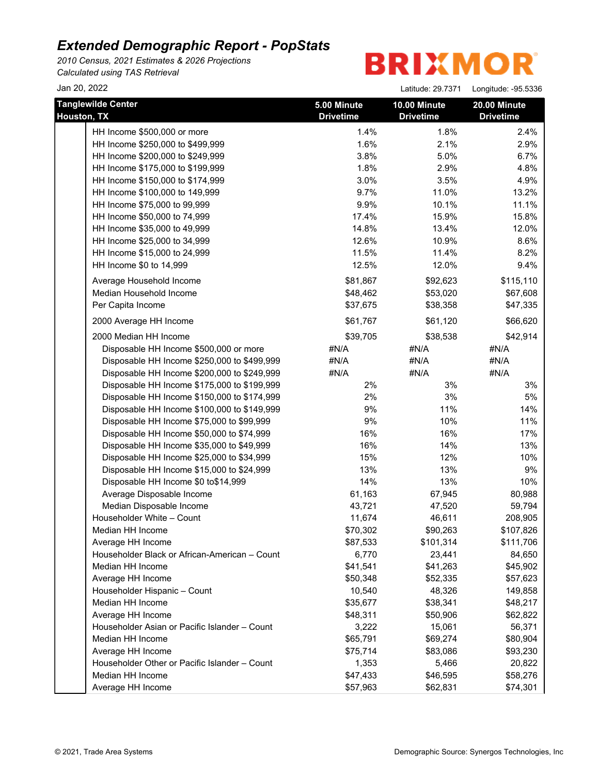*2010 Census, 2021 Estimates & 2026 Projections Calculated using TAS Retrieval*

| Jan 20, 2022                                  |                  | Latitude: 29.7371 | Longitude: - 95.5336 |
|-----------------------------------------------|------------------|-------------------|----------------------|
| <b>Tanglewilde Center</b>                     | 5.00 Minute      | 10.00 Minute      | 20.00 Minute         |
| Houston, TX                                   | <b>Drivetime</b> | <b>Drivetime</b>  | <b>Drivetime</b>     |
| HH Income \$500,000 or more                   | 1.4%             | 1.8%              | 2.4%                 |
| HH Income \$250,000 to \$499,999              | 1.6%             | 2.1%              | 2.9%                 |
| HH Income \$200,000 to \$249,999              | 3.8%             | 5.0%              | 6.7%                 |
| HH Income \$175,000 to \$199,999              | 1.8%             | 2.9%              | 4.8%                 |
| HH Income \$150,000 to \$174,999              | 3.0%             | 3.5%              | 4.9%                 |
| HH Income \$100,000 to 149,999                | 9.7%             | 11.0%             | 13.2%                |
| HH Income \$75,000 to 99,999                  | 9.9%             | 10.1%             | 11.1%                |
| HH Income \$50,000 to 74,999                  | 17.4%            | 15.9%             | 15.8%                |
| HH Income \$35,000 to 49,999                  | 14.8%            | 13.4%             | 12.0%                |
| HH Income \$25,000 to 34,999                  | 12.6%            | 10.9%             | 8.6%                 |
| HH Income \$15,000 to 24,999                  | 11.5%            | 11.4%             | 8.2%                 |
| HH Income \$0 to 14,999                       | 12.5%            | 12.0%             | 9.4%                 |
| Average Household Income                      | \$81,867         | \$92,623          | \$115,110            |
| Median Household Income                       | \$48,462         | \$53,020          | \$67,608             |
| Per Capita Income                             | \$37,675         | \$38,358          | \$47,335             |
| 2000 Average HH Income                        | \$61,767         | \$61,120          | \$66,620             |
| 2000 Median HH Income                         | \$39,705         | \$38,538          | \$42,914             |
| Disposable HH Income \$500,000 or more        | #N/A             | #N/A              | #N/A                 |
| Disposable HH Income \$250,000 to \$499,999   | #N/A             | #N/A              | #N/A                 |
| Disposable HH Income \$200,000 to \$249,999   | #N/A             | #N/A              | #N/A                 |
| Disposable HH Income \$175,000 to \$199,999   | 2%               | 3%                | 3%                   |
| Disposable HH Income \$150,000 to \$174,999   | 2%               | 3%                | 5%                   |
| Disposable HH Income \$100,000 to \$149,999   | 9%               | 11%               | 14%                  |
| Disposable HH Income \$75,000 to \$99,999     | $9\%$            | 10%               | 11%                  |
| Disposable HH Income \$50,000 to \$74,999     | 16%              | 16%               | 17%                  |
| Disposable HH Income \$35,000 to \$49,999     | 16%              | 14%               | 13%                  |
| Disposable HH Income \$25,000 to \$34,999     | 15%              | 12%               | 10%                  |
| Disposable HH Income \$15,000 to \$24,999     | 13%              | 13%               | 9%                   |
| Disposable HH Income \$0 to\$14,999           | 14%              | 13%               | 10%                  |
| Average Disposable Income                     | 61,163           | 67,945            | 80,988               |
| Median Disposable Income                      | 43,721           | 47,520            | 59,794               |
| Householder White - Count                     | 11,674           | 46,611            | 208,905              |
| Median HH Income                              | \$70,302         | \$90,263          | \$107,826            |
| Average HH Income                             | \$87,533         | \$101,314         | \$111,706            |
| Householder Black or African-American - Count | 6,770            | 23,441            | 84,650               |
| Median HH Income                              | \$41,541         | \$41,263          | \$45,902             |
| Average HH Income                             | \$50,348         | \$52,335          | \$57,623             |
| Householder Hispanic - Count                  | 10,540           | 48,326            | 149,858              |
| Median HH Income                              | \$35,677         | \$38,341          | \$48,217             |
| Average HH Income                             | \$48,311         | \$50,906          | \$62,822             |
| Householder Asian or Pacific Islander - Count | 3,222            | 15,061            | 56,371               |
| Median HH Income                              | \$65,791         | \$69,274          | \$80,904             |
| Average HH Income                             | \$75,714         | \$83,086          | \$93,230             |
| Householder Other or Pacific Islander - Count | 1,353            | 5,466             | 20,822               |
| Median HH Income                              | \$47,433         | \$46,595          | \$58,276             |
| Average HH Income                             | \$57,963         | \$62,831          | \$74,301             |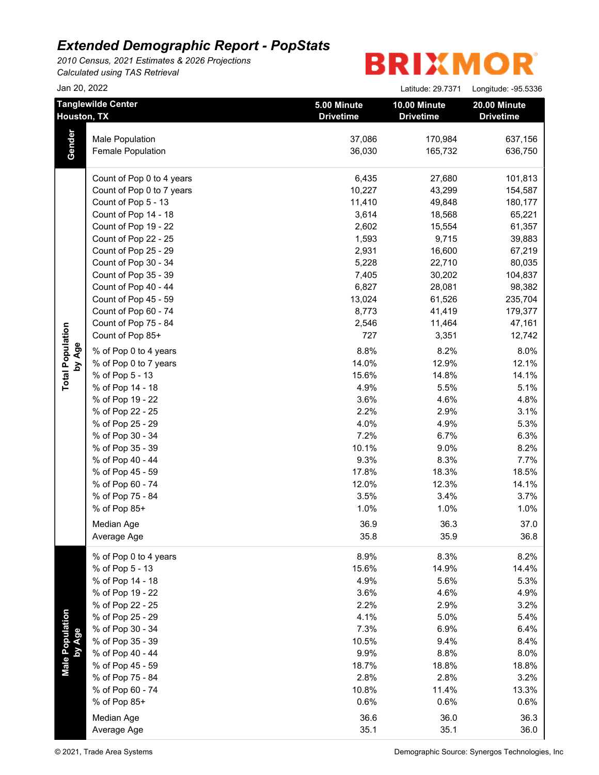*2010 Census, 2021 Estimates & 2026 Projections Calculated using TAS Retrieval*

|                                          | Jan 20, 2022              |                                 | Latitude: 29.7371                | Longitude: - 95.5336             |
|------------------------------------------|---------------------------|---------------------------------|----------------------------------|----------------------------------|
| <b>Tanglewilde Center</b><br>Houston, TX |                           | 5.00 Minute<br><b>Drivetime</b> | 10.00 Minute<br><b>Drivetime</b> | 20.00 Minute<br><b>Drivetime</b> |
|                                          | Male Population           | 37,086                          | 170,984                          | 637,156                          |
| Gender                                   | Female Population         | 36,030                          | 165,732                          | 636,750                          |
|                                          | Count of Pop 0 to 4 years | 6,435                           | 27,680                           | 101,813                          |
|                                          | Count of Pop 0 to 7 years | 10,227                          | 43,299                           | 154,587                          |
|                                          | Count of Pop 5 - 13       | 11,410                          | 49,848                           | 180,177                          |
|                                          | Count of Pop 14 - 18      | 3,614                           | 18,568                           | 65,221                           |
|                                          | Count of Pop 19 - 22      | 2,602                           | 15,554                           | 61,357                           |
|                                          | Count of Pop 22 - 25      | 1,593                           | 9,715                            | 39,883                           |
|                                          | Count of Pop 25 - 29      | 2,931                           | 16,600                           | 67,219                           |
|                                          | Count of Pop 30 - 34      | 5,228                           | 22,710                           | 80,035                           |
|                                          | Count of Pop 35 - 39      | 7,405                           | 30,202                           | 104,837                          |
|                                          | Count of Pop 40 - 44      | 6,827                           | 28,081                           | 98,382                           |
|                                          | Count of Pop 45 - 59      | 13,024                          | 61,526                           | 235,704                          |
|                                          | Count of Pop 60 - 74      | 8,773                           | 41,419                           | 179,377                          |
|                                          | Count of Pop 75 - 84      | 2,546                           | 11,464                           | 47,161                           |
|                                          | Count of Pop 85+          | 727                             | 3,351                            | 12,742                           |
| by Age                                   | % of Pop 0 to 4 years     | 8.8%                            | 8.2%                             | 8.0%                             |
|                                          | % of Pop 0 to 7 years     | 14.0%                           | 12.9%                            | 12.1%                            |
|                                          | % of Pop 5 - 13           | 15.6%                           | 14.8%                            | 14.1%                            |
|                                          | % of Pop 14 - 18          | 4.9%                            | 5.5%                             | 5.1%                             |
|                                          | % of Pop 19 - 22          | 3.6%                            | 4.6%                             | 4.8%                             |
|                                          | % of Pop 22 - 25          | 2.2%                            | 2.9%                             | 3.1%                             |
|                                          | % of Pop 25 - 29          | 4.0%                            | 4.9%                             | 5.3%                             |
|                                          | % of Pop 30 - 34          | 7.2%                            | 6.7%                             | 6.3%                             |
|                                          | % of Pop 35 - 39          | 10.1%                           | 9.0%                             | 8.2%                             |
|                                          | % of Pop 40 - 44          | 9.3%                            | 8.3%                             | 7.7%                             |
|                                          | % of Pop 45 - 59          | 17.8%                           | 18.3%                            | 18.5%                            |
|                                          | % of Pop 60 - 74          | 12.0%                           | 12.3%                            | 14.1%                            |
|                                          | % of Pop 75 - 84          | 3.5%                            | 3.4%                             | 3.7%                             |
|                                          | % of Pop 85+              | 1.0%                            | 1.0%                             | 1.0%                             |
|                                          | Median Age                | 36.9                            | 36.3                             | 37.0                             |
|                                          | Average Age               | 35.8                            | 35.9                             | 36.8                             |
|                                          | % of Pop 0 to 4 years     | 8.9%                            | 8.3%                             | 8.2%                             |
|                                          | % of Pop 5 - 13           | 15.6%                           | 14.9%                            | 14.4%                            |
|                                          | % of Pop 14 - 18          | 4.9%                            | 5.6%                             | 5.3%                             |
|                                          | % of Pop 19 - 22          | 3.6%                            | 4.6%                             | 4.9%                             |
|                                          | % of Pop 22 - 25          | 2.2%                            | 2.9%                             | 3.2%                             |
|                                          | % of Pop 25 - 29          | 4.1%                            | 5.0%                             | 5.4%                             |
|                                          | % of Pop 30 - 34          | 7.3%                            | 6.9%                             | 6.4%                             |
|                                          | % of Pop 35 - 39          | 10.5%                           | 9.4%                             | 8.4%                             |
|                                          | % of Pop 40 - 44          | 9.9%                            | 8.8%                             | 8.0%                             |
| Male Population<br>by Age                | % of Pop 45 - 59          | 18.7%                           | 18.8%                            | 18.8%                            |
|                                          | % of Pop 75 - 84          | 2.8%                            | 2.8%                             | 3.2%                             |
|                                          | % of Pop 60 - 74          | 10.8%                           | 11.4%                            | 13.3%                            |
|                                          | % of Pop 85+              | 0.6%                            | 0.6%                             | 0.6%                             |
|                                          | Median Age                | 36.6                            | 36.0                             | 36.3                             |
|                                          | Average Age               | 35.1                            | 35.1                             | 36.0                             |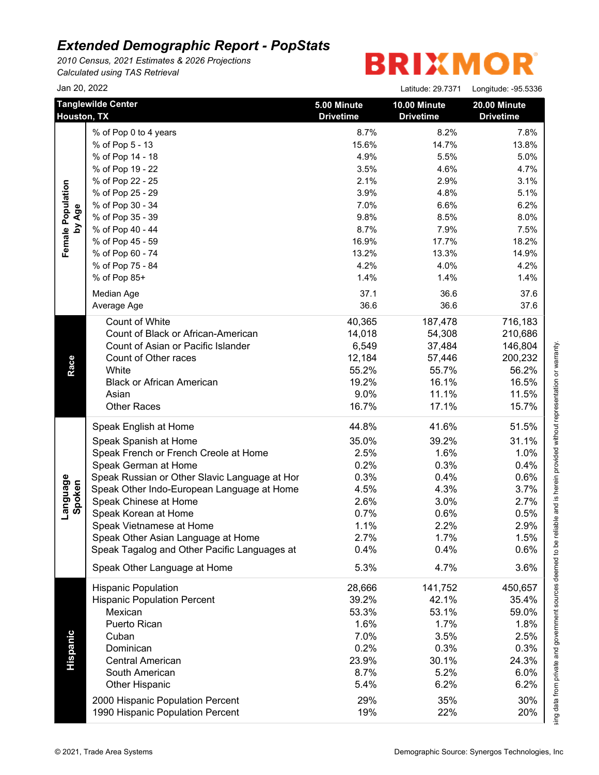*2010 Census, 2021 Estimates & 2026 Projections Calculated using TAS Retrieval*

# **BRIXMOR®**

|                    | Jan 20, 2022                                  |                                 | Latitude: 29.7371                | Longitude: -95.5336              |
|--------------------|-----------------------------------------------|---------------------------------|----------------------------------|----------------------------------|
|                    | <b>Tanglewilde Center</b><br>Houston, TX      | 5.00 Minute<br><b>Drivetime</b> | 10.00 Minute<br><b>Drivetime</b> | 20.00 Minute<br><b>Drivetime</b> |
|                    | % of Pop 0 to 4 years                         | 8.7%                            | 8.2%                             | 7.8%                             |
|                    | % of Pop 5 - 13                               | 15.6%                           | 14.7%                            | 13.8%                            |
|                    | % of Pop 14 - 18                              | 4.9%                            | 5.5%                             | 5.0%                             |
|                    | % of Pop 19 - 22                              | 3.5%                            | 4.6%                             | 4.7%                             |
|                    | % of Pop 22 - 25                              | 2.1%                            | 2.9%                             | 3.1%                             |
|                    | % of Pop 25 - 29                              | 3.9%                            | 4.8%                             | 5.1%                             |
|                    | % of Pop 30 - 34                              | 7.0%                            | 6.6%                             | 6.2%                             |
| by Age             | % of Pop 35 - 39                              | 9.8%                            | 8.5%                             | 8.0%                             |
|                    | % of Pop 40 - 44                              | 8.7%                            | 7.9%                             | 7.5%                             |
|                    | % of Pop 45 - 59                              | 16.9%                           | 17.7%                            | 18.2%                            |
|                    | % of Pop 60 - 74                              | 13.2%                           | 13.3%                            | 14.9%                            |
|                    | % of Pop 75 - 84                              | 4.2%                            | 4.0%                             | 4.2%                             |
|                    | % of Pop 85+                                  | 1.4%                            | 1.4%                             | 1.4%                             |
|                    | Median Age                                    | 37.1                            | 36.6                             | 37.6                             |
|                    | Average Age                                   | 36.6                            | 36.6                             | 37.6                             |
|                    | Count of White                                | 40,365                          | 187,478                          | 716,183                          |
|                    | Count of Black or African-American            | 14,018                          | 54,308                           | 210,686                          |
|                    | Count of Asian or Pacific Islander            | 6,549                           | 37,484                           | 146,804                          |
|                    | Count of Other races                          | 12,184                          | 57,446                           | 200,232                          |
|                    | White                                         | 55.2%                           | 55.7%                            | 56.2%                            |
|                    | <b>Black or African American</b>              | 19.2%                           | 16.1%                            | 16.5%                            |
|                    | Asian                                         | 9.0%                            | 11.1%                            | 11.5%                            |
|                    | <b>Other Races</b>                            | 16.7%                           | 17.1%                            | 15.7%                            |
|                    | Speak English at Home                         | 44.8%                           | 41.6%                            | 51.5%                            |
|                    | Speak Spanish at Home                         | 35.0%                           | 39.2%                            | 31.1%                            |
|                    | Speak French or French Creole at Home         | 2.5%                            | 1.6%                             | 1.0%                             |
|                    | Speak German at Home                          | 0.2%                            | 0.3%                             | 0.4%                             |
|                    | Speak Russian or Other Slavic Language at Hor | 0.3%                            | 0.4%                             | 0.6%                             |
|                    | Speak Other Indo-European Language at Home    | 4.5%                            | 4.3%                             | 3.7%                             |
|                    | Speak Chinese at Home                         | 2.6%                            | 3.0%                             | 2.7%                             |
| Language<br>Spoken | Speak Korean at Home                          | 0.7%                            | 0.6%                             | 0.5%                             |
|                    | Speak Vietnamese at Home                      | 1.1%                            | 2.2%                             | 2.9%                             |
|                    | Speak Other Asian Language at Home            | 2.7%                            | 1.7%                             | 1.5%                             |
|                    | Speak Tagalog and Other Pacific Languages at  | 0.4%                            | 0.4%                             | 0.6%                             |
|                    | Speak Other Language at Home                  | 5.3%                            | 4.7%                             | 3.6%                             |
|                    | <b>Hispanic Population</b>                    | 28,666                          | 141,752                          | 450,657                          |
|                    | <b>Hispanic Population Percent</b>            | 39.2%                           | 42.1%                            | 35.4%                            |
|                    | Mexican                                       | 53.3%                           | 53.1%                            | 59.0%                            |
|                    | Puerto Rican                                  | 1.6%                            | 1.7%                             | 1.8%                             |
|                    | Cuban                                         | 7.0%                            | 3.5%                             | 2.5%                             |
|                    | Dominican                                     | 0.2%                            | 0.3%                             | 0.3%                             |
|                    | <b>Central American</b>                       | 23.9%                           | 30.1%                            | 24.3%                            |
|                    | South American                                | 8.7%                            | 5.2%                             | 6.0%                             |
|                    | <b>Other Hispanic</b>                         | 5.4%                            | 6.2%                             | 6.2%                             |
|                    | 2000 Hispanic Population Percent              | 29%                             | 35%                              | 30%                              |
|                    |                                               | 19%                             | 22%                              | 20%                              |

This report was produced using data from private and government sources deemed to be reliable and is herein provided without representation or warranty.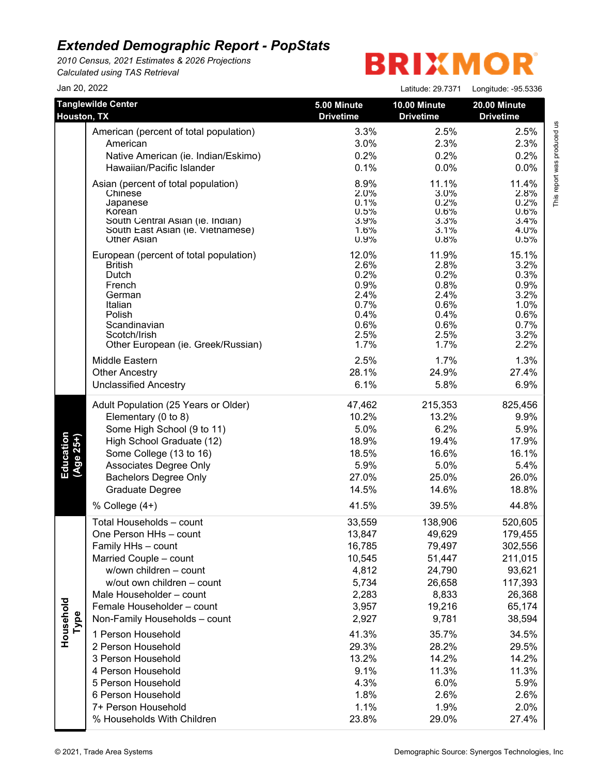*2010 Census, 2021 Estimates & 2026 Projections Calculated using TAS Retrieval*

# **BRIXMOR®**

| Jan 20, 2022           |                                                                                                                                                                                                                                                                                                                                                                                                                                                |                                                                                                                                                       | Latitude: 29.7371                                                                                                                                          | Longitude: -95.5336                                                                                                                                              |
|------------------------|------------------------------------------------------------------------------------------------------------------------------------------------------------------------------------------------------------------------------------------------------------------------------------------------------------------------------------------------------------------------------------------------------------------------------------------------|-------------------------------------------------------------------------------------------------------------------------------------------------------|------------------------------------------------------------------------------------------------------------------------------------------------------------|------------------------------------------------------------------------------------------------------------------------------------------------------------------|
| Houston, TX            | <b>Tanglewilde Center</b>                                                                                                                                                                                                                                                                                                                                                                                                                      | 5.00 Minute<br><b>Drivetime</b>                                                                                                                       | 10.00 Minute<br><b>Drivetime</b>                                                                                                                           | 20.00 Minute<br><b>Drivetime</b>                                                                                                                                 |
|                        | American (percent of total population)                                                                                                                                                                                                                                                                                                                                                                                                         | 3.3%                                                                                                                                                  | 2.5%                                                                                                                                                       | 2.5%                                                                                                                                                             |
|                        | American                                                                                                                                                                                                                                                                                                                                                                                                                                       | 3.0%                                                                                                                                                  | 2.3%                                                                                                                                                       | 2.3%                                                                                                                                                             |
|                        | Native American (ie. Indian/Eskimo)                                                                                                                                                                                                                                                                                                                                                                                                            | 0.2%                                                                                                                                                  | 0.2%                                                                                                                                                       | 0.2%                                                                                                                                                             |
|                        | Hawaiian/Pacific Islander                                                                                                                                                                                                                                                                                                                                                                                                                      | 0.1%                                                                                                                                                  | 0.0%                                                                                                                                                       | 0.0%                                                                                                                                                             |
|                        | Asian (percent of total population)                                                                                                                                                                                                                                                                                                                                                                                                            | 8.9%                                                                                                                                                  | 11.1%                                                                                                                                                      | 11.4%                                                                                                                                                            |
|                        | Chinese                                                                                                                                                                                                                                                                                                                                                                                                                                        | 2.0%                                                                                                                                                  | 3.0%                                                                                                                                                       | 2.8%                                                                                                                                                             |
|                        | Japanese                                                                                                                                                                                                                                                                                                                                                                                                                                       | 0.1%                                                                                                                                                  | 0.2%                                                                                                                                                       | 0.2%                                                                                                                                                             |
|                        | Korean                                                                                                                                                                                                                                                                                                                                                                                                                                         | 0.5%                                                                                                                                                  | 0.6%                                                                                                                                                       | 0.6%                                                                                                                                                             |
|                        | South Central Asian (ie. Indian)                                                                                                                                                                                                                                                                                                                                                                                                               | 3.9%                                                                                                                                                  | 3.3%                                                                                                                                                       | 3.4%                                                                                                                                                             |
|                        | South East Asian (ie. Vietnamese)                                                                                                                                                                                                                                                                                                                                                                                                              | 1.6%                                                                                                                                                  | 3.1%                                                                                                                                                       | 4.0%                                                                                                                                                             |
|                        | <b>Other Asian</b>                                                                                                                                                                                                                                                                                                                                                                                                                             | 0.9%                                                                                                                                                  | 0.8%                                                                                                                                                       | 0.5%                                                                                                                                                             |
|                        | European (percent of total population)                                                                                                                                                                                                                                                                                                                                                                                                         | 12.0%                                                                                                                                                 | 11.9%                                                                                                                                                      | 15.1%                                                                                                                                                            |
|                        | <b>British</b>                                                                                                                                                                                                                                                                                                                                                                                                                                 | 2.6%                                                                                                                                                  | 2.8%                                                                                                                                                       | 3.2%                                                                                                                                                             |
|                        | Dutch                                                                                                                                                                                                                                                                                                                                                                                                                                          | 0.2%                                                                                                                                                  | 0.2%                                                                                                                                                       | 0.3%                                                                                                                                                             |
|                        | French                                                                                                                                                                                                                                                                                                                                                                                                                                         | 0.9%                                                                                                                                                  | 0.8%                                                                                                                                                       | 0.9%                                                                                                                                                             |
|                        | German                                                                                                                                                                                                                                                                                                                                                                                                                                         | 2.4%                                                                                                                                                  | 2.4%                                                                                                                                                       | 3.2%                                                                                                                                                             |
|                        | Italian                                                                                                                                                                                                                                                                                                                                                                                                                                        | 0.7%                                                                                                                                                  | 0.6%                                                                                                                                                       | 1.0%                                                                                                                                                             |
|                        | Polish                                                                                                                                                                                                                                                                                                                                                                                                                                         | 0.4%                                                                                                                                                  | 0.4%                                                                                                                                                       | 0.6%                                                                                                                                                             |
|                        | Scandinavian                                                                                                                                                                                                                                                                                                                                                                                                                                   | 0.6%                                                                                                                                                  | 0.6%                                                                                                                                                       | 0.7%                                                                                                                                                             |
|                        | Scotch/Irish                                                                                                                                                                                                                                                                                                                                                                                                                                   | 2.5%                                                                                                                                                  | 2.5%                                                                                                                                                       | 3.2%                                                                                                                                                             |
|                        | Other European (ie. Greek/Russian)                                                                                                                                                                                                                                                                                                                                                                                                             | 1.7%                                                                                                                                                  | 1.7%                                                                                                                                                       | 2.2%                                                                                                                                                             |
|                        | Middle Eastern                                                                                                                                                                                                                                                                                                                                                                                                                                 | 2.5%                                                                                                                                                  | 1.7%                                                                                                                                                       | 1.3%                                                                                                                                                             |
|                        | <b>Other Ancestry</b>                                                                                                                                                                                                                                                                                                                                                                                                                          | 28.1%                                                                                                                                                 | 24.9%                                                                                                                                                      | 27.4%                                                                                                                                                            |
|                        | <b>Unclassified Ancestry</b>                                                                                                                                                                                                                                                                                                                                                                                                                   | 6.1%                                                                                                                                                  | 5.8%                                                                                                                                                       | 6.9%                                                                                                                                                             |
| Education<br>(Age 25+) | Adult Population (25 Years or Older)                                                                                                                                                                                                                                                                                                                                                                                                           | 47,462                                                                                                                                                | 215,353                                                                                                                                                    | 825,456                                                                                                                                                          |
|                        | Elementary (0 to 8)                                                                                                                                                                                                                                                                                                                                                                                                                            | 10.2%                                                                                                                                                 | 13.2%                                                                                                                                                      | 9.9%                                                                                                                                                             |
|                        | Some High School (9 to 11)                                                                                                                                                                                                                                                                                                                                                                                                                     | 5.0%                                                                                                                                                  | 6.2%                                                                                                                                                       | 5.9%                                                                                                                                                             |
|                        | High School Graduate (12)                                                                                                                                                                                                                                                                                                                                                                                                                      | 18.9%                                                                                                                                                 | 19.4%                                                                                                                                                      | 17.9%                                                                                                                                                            |
|                        | Some College (13 to 16)                                                                                                                                                                                                                                                                                                                                                                                                                        | 18.5%                                                                                                                                                 | 16.6%                                                                                                                                                      | 16.1%                                                                                                                                                            |
|                        | Associates Degree Only                                                                                                                                                                                                                                                                                                                                                                                                                         | 5.9%                                                                                                                                                  | 5.0%                                                                                                                                                       | 5.4%                                                                                                                                                             |
|                        | <b>Bachelors Degree Only</b>                                                                                                                                                                                                                                                                                                                                                                                                                   | 27.0%                                                                                                                                                 | 25.0%                                                                                                                                                      | 26.0%                                                                                                                                                            |
|                        | Graduate Degree                                                                                                                                                                                                                                                                                                                                                                                                                                | 14.5%                                                                                                                                                 | 14.6%                                                                                                                                                      | 18.8%                                                                                                                                                            |
|                        | % College (4+)                                                                                                                                                                                                                                                                                                                                                                                                                                 | 41.5%                                                                                                                                                 | 39.5%                                                                                                                                                      | 44.8%                                                                                                                                                            |
| Household<br>Type      | Total Households - count<br>One Person HHs - count<br>Family HHs - count<br>Married Couple - count<br>w/own children - count<br>w/out own children - count<br>Male Householder - count<br>Female Householder - count<br>Non-Family Households - count<br>1 Person Household<br>2 Person Household<br>3 Person Household<br>4 Person Household<br>5 Person Household<br>6 Person Household<br>7+ Person Household<br>% Households With Children | 33,559<br>13,847<br>16,785<br>10,545<br>4,812<br>5,734<br>2,283<br>3,957<br>2,927<br>41.3%<br>29.3%<br>13.2%<br>9.1%<br>4.3%<br>1.8%<br>1.1%<br>23.8% | 138,906<br>49,629<br>79,497<br>51,447<br>24,790<br>26,658<br>8,833<br>19,216<br>9,781<br>35.7%<br>28.2%<br>14.2%<br>11.3%<br>6.0%<br>2.6%<br>1.9%<br>29.0% | 520,605<br>179,455<br>302,556<br>211,015<br>93,621<br>117,393<br>26,368<br>65,174<br>38,594<br>34.5%<br>29.5%<br>14.2%<br>11.3%<br>5.9%<br>2.6%<br>2.0%<br>27.4% |

This report was produced us<br>T This report was produced us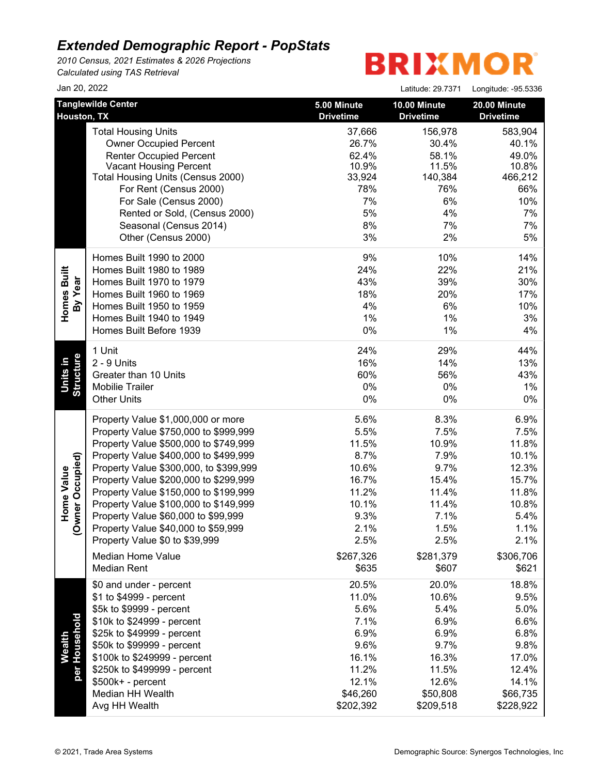*2010 Census, 2021 Estimates & 2026 Projections Calculated using TAS Retrieval*

| Jan 20, 2022                             |                                                                                                                                                                                                                                                                                                                                                                                                                                                                                |                                                                                                             | Latitude: 29.7371                                                                                           | Longitude: - 95.5336                                                                                       |
|------------------------------------------|--------------------------------------------------------------------------------------------------------------------------------------------------------------------------------------------------------------------------------------------------------------------------------------------------------------------------------------------------------------------------------------------------------------------------------------------------------------------------------|-------------------------------------------------------------------------------------------------------------|-------------------------------------------------------------------------------------------------------------|------------------------------------------------------------------------------------------------------------|
| Houston, TX                              | <b>Tanglewilde Center</b>                                                                                                                                                                                                                                                                                                                                                                                                                                                      | 5.00 Minute<br><b>Drivetime</b>                                                                             | 10.00 Minute<br><b>Drivetime</b>                                                                            | 20.00 Minute<br><b>Drivetime</b>                                                                           |
|                                          | <b>Total Housing Units</b><br><b>Owner Occupied Percent</b><br><b>Renter Occupied Percent</b><br><b>Vacant Housing Percent</b><br>Total Housing Units (Census 2000)<br>For Rent (Census 2000)<br>For Sale (Census 2000)<br>Rented or Sold, (Census 2000)<br>Seasonal (Census 2014)<br>Other (Census 2000)                                                                                                                                                                      | 37,666<br>26.7%<br>62.4%<br>10.9%<br>33,924<br>78%<br>7%<br>5%<br>8%<br>3%                                  | 156,978<br>30.4%<br>58.1%<br>11.5%<br>140,384<br>76%<br>6%<br>4%<br>7%<br>2%                                | 583,904<br>40.1%<br>49.0%<br>10.8%<br>466,212<br>66%<br>10%<br>7%<br>7%<br>5%                              |
| Homes Built<br>By Year                   | Homes Built 1990 to 2000<br>Homes Built 1980 to 1989<br>Homes Built 1970 to 1979<br>Homes Built 1960 to 1969<br>Homes Built 1950 to 1959<br>Homes Built 1940 to 1949<br>Homes Built Before 1939                                                                                                                                                                                                                                                                                | 9%<br>24%<br>43%<br>18%<br>4%<br>1%<br>0%                                                                   | 10%<br>22%<br>39%<br>20%<br>6%<br>1%<br>1%                                                                  | 14%<br>21%<br>30%<br>17%<br>10%<br>3%<br>4%                                                                |
| <b>Structure</b><br>Units in             | 1 Unit<br>2 - 9 Units<br>Greater than 10 Units<br><b>Mobilie Trailer</b><br><b>Other Units</b>                                                                                                                                                                                                                                                                                                                                                                                 | 24%<br>16%<br>60%<br>0%<br>0%                                                                               | 29%<br>14%<br>56%<br>0%<br>$0\%$                                                                            | 44%<br>13%<br>43%<br>1%<br>$0\%$                                                                           |
| wner Occupied)<br><b>Home Value</b><br>Q | Property Value \$1,000,000 or more<br>Property Value \$750,000 to \$999,999<br>Property Value \$500,000 to \$749,999<br>Property Value \$400,000 to \$499,999<br>Property Value \$300,000, to \$399,999<br>Property Value \$200,000 to \$299,999<br>Property Value \$150,000 to \$199,999<br>Property Value \$100,000 to \$149,999<br>Property Value \$60,000 to \$99,999<br>Property Value \$40,000 to \$59,999<br>Property Value \$0 to \$39,999<br><b>Median Home Value</b> | 5.6%<br>5.5%<br>11.5%<br>8.7%<br>10.6%<br>16.7%<br>11.2%<br>10.1%<br>9.3%<br>2.1%<br>2.5%<br>\$267,326      | 8.3%<br>7.5%<br>10.9%<br>7.9%<br>9.7%<br>15.4%<br>11.4%<br>11.4%<br>7.1%<br>1.5%<br>2.5%<br>\$281,379       | 6.9%<br>7.5%<br>11.8%<br>10.1%<br>12.3%<br>15.7%<br>11.8%<br>10.8%<br>5.4%<br>1.1%<br>2.1%<br>\$306,706    |
| per Household<br><b>Wealth</b>           | <b>Median Rent</b><br>\$0 and under - percent<br>\$1 to \$4999 - percent<br>\$5k to \$9999 - percent<br>\$10k to \$24999 - percent<br>\$25k to \$49999 - percent<br>\$50k to \$99999 - percent<br>\$100k to \$249999 - percent<br>\$250k to \$499999 - percent<br>\$500k+ - percent<br>Median HH Wealth<br>Avg HH Wealth                                                                                                                                                       | \$635<br>20.5%<br>11.0%<br>5.6%<br>7.1%<br>6.9%<br>9.6%<br>16.1%<br>11.2%<br>12.1%<br>\$46,260<br>\$202,392 | \$607<br>20.0%<br>10.6%<br>5.4%<br>6.9%<br>6.9%<br>9.7%<br>16.3%<br>11.5%<br>12.6%<br>\$50,808<br>\$209,518 | \$621<br>18.8%<br>9.5%<br>5.0%<br>6.6%<br>6.8%<br>9.8%<br>17.0%<br>12.4%<br>14.1%<br>\$66,735<br>\$228,922 |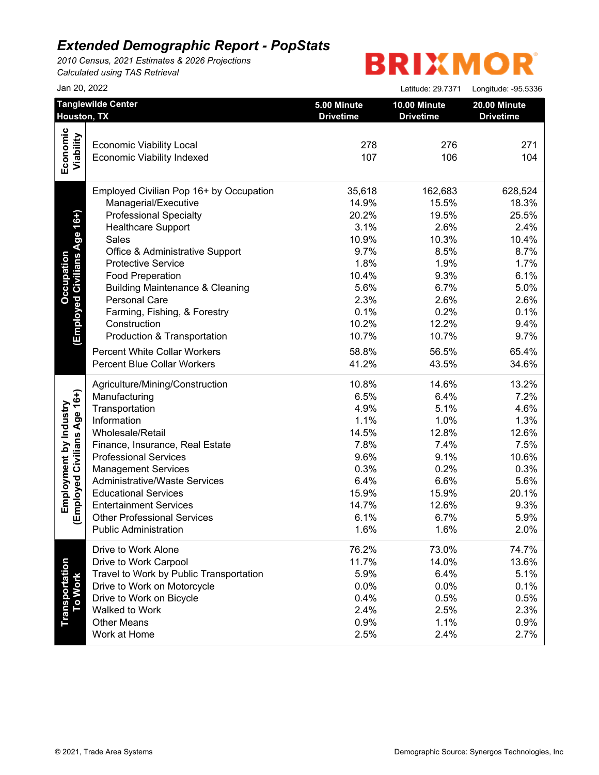*2010 Census, 2021 Estimates & 2026 Projections Calculated using TAS Retrieval*

|                                  | Jan 20, 2022                               |                                 | Latitude: 29.7371                | Longitude: - 95.5336             |
|----------------------------------|--------------------------------------------|---------------------------------|----------------------------------|----------------------------------|
|                                  | <b>Tanglewilde Center</b><br>Houston, TX   | 5.00 Minute<br><b>Drivetime</b> | 10.00 Minute<br><b>Drivetime</b> | 20.00 Minute<br><b>Drivetime</b> |
|                                  |                                            |                                 |                                  |                                  |
| Economic                         | <b>Economic Viability Local</b>            | 278                             | 276                              | 271                              |
|                                  | <b>Economic Viability Indexed</b>          | 107                             | 106                              | 104                              |
| Viability                        |                                            |                                 |                                  |                                  |
|                                  | Employed Civilian Pop 16+ by Occupation    | 35,618                          | 162,683                          | 628,524                          |
|                                  | Managerial/Executive                       | 14.9%                           | 15.5%                            | 18.3%                            |
| (Employed Civilians Age 16+)     | <b>Professional Specialty</b>              | 20.2%                           | 19.5%                            | 25.5%                            |
|                                  | <b>Healthcare Support</b>                  | 3.1%                            | 2.6%                             | 2.4%                             |
|                                  | Sales                                      | 10.9%                           | 10.3%                            | 10.4%                            |
|                                  | Office & Administrative Support            | 9.7%                            | 8.5%                             | 8.7%                             |
|                                  | <b>Protective Service</b>                  | 1.8%                            | 1.9%                             | 1.7%                             |
|                                  | <b>Food Preperation</b>                    | 10.4%                           | 9.3%                             | 6.1%                             |
|                                  | <b>Building Maintenance &amp; Cleaning</b> | 5.6%                            | 6.7%                             | 5.0%                             |
|                                  | Personal Care                              | 2.3%                            | 2.6%                             | 2.6%                             |
|                                  | Farming, Fishing, & Forestry               | 0.1%                            | 0.2%                             | 0.1%                             |
|                                  | Construction                               | 10.2%                           | 12.2%                            | 9.4%                             |
|                                  | Production & Transportation                | 10.7%                           | 10.7%                            | 9.7%                             |
|                                  | <b>Percent White Collar Workers</b>        | 58.8%                           | 56.5%                            | 65.4%                            |
|                                  | <b>Percent Blue Collar Workers</b>         | 41.2%                           | 43.5%                            | 34.6%                            |
|                                  |                                            |                                 |                                  |                                  |
|                                  | Agriculture/Mining/Construction            | 10.8%                           | 14.6%                            | 13.2%                            |
|                                  | Manufacturing                              | 6.5%                            | 6.4%                             | 7.2%                             |
|                                  | Transportation                             | 4.9%                            | 5.1%                             | 4.6%                             |
|                                  | Information                                | 1.1%                            | 1.0%                             | 1.3%                             |
|                                  | Wholesale/Retail                           | 14.5%                           | 12.8%                            | 12.6%                            |
|                                  | Finance, Insurance, Real Estate            | 7.8%                            | 7.4%                             | 7.5%                             |
|                                  | <b>Professional Services</b>               | 9.6%                            | 9.1%                             | 10.6%                            |
|                                  | <b>Management Services</b>                 | 0.3%                            | 0.2%                             | 0.3%                             |
| Employed Civilians Age 16+)      | <b>Administrative/Waste Services</b>       | 6.4%                            | 6.6%                             | 5.6%                             |
|                                  | <b>Educational Services</b>                | 15.9%                           | 15.9%                            | 20.1%                            |
|                                  | <b>Entertainment Services</b>              | 14.7%                           | 12.6%                            | 9.3%                             |
|                                  | <b>Other Professional Services</b>         | 6.1%                            | 6.7%                             | 5.9%                             |
|                                  | <b>Public Administration</b>               | 1.6%                            | 1.6%                             | 2.0%                             |
|                                  | Drive to Work Alone                        | 76.2%                           | 73.0%                            | 74.7%                            |
| <b>Transportation</b><br>To Work | Drive to Work Carpool                      | 11.7%                           | 14.0%                            | 13.6%                            |
|                                  | Travel to Work by Public Transportation    | 5.9%                            | 6.4%                             | 5.1%                             |
|                                  | Drive to Work on Motorcycle                | 0.0%                            | 0.0%                             | 0.1%                             |
|                                  | Drive to Work on Bicycle                   | 0.4%                            | 0.5%                             | 0.5%                             |
|                                  | Walked to Work                             | 2.4%                            | 2.5%                             | 2.3%                             |
|                                  | <b>Other Means</b>                         | 0.9%                            | 1.1%                             | 0.9%                             |
|                                  | Work at Home                               | 2.5%                            | 2.4%                             | 2.7%                             |